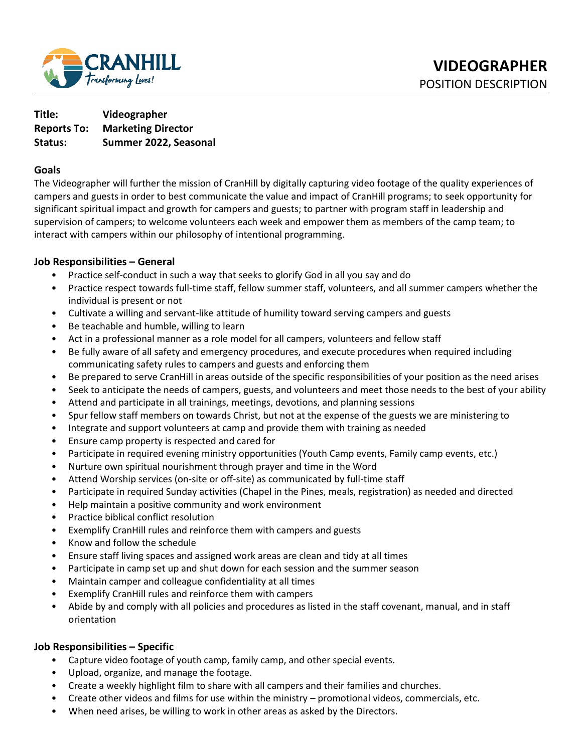

**Title: Videographer Reports To: Marketing Director Status: Summer 2022, Seasonal** 

## **Goals**

The Videographer will further the mission of CranHill by digitally capturing video footage of the quality experiences of campers and guests in order to best communicate the value and impact of CranHill programs; to seek opportunity for significant spiritual impact and growth for campers and guests; to partner with program staff in leadership and supervision of campers; to welcome volunteers each week and empower them as members of the camp team; to interact with campers within our philosophy of intentional programming.

## **Job Responsibilities – General**

- Practice self-conduct in such a way that seeks to glorify God in all you say and do
- Practice respect towards full-time staff, fellow summer staff, volunteers, and all summer campers whether the individual is present or not
- Cultivate a willing and servant-like attitude of humility toward serving campers and guests
- Be teachable and humble, willing to learn
- Act in a professional manner as a role model for all campers, volunteers and fellow staff
- Be fully aware of all safety and emergency procedures, and execute procedures when required including communicating safety rules to campers and guests and enforcing them
- Be prepared to serve CranHill in areas outside of the specific responsibilities of your position as the need arises
- Seek to anticipate the needs of campers, guests, and volunteers and meet those needs to the best of your ability
- Attend and participate in all trainings, meetings, devotions, and planning sessions
- Spur fellow staff members on towards Christ, but not at the expense of the guests we are ministering to
- Integrate and support volunteers at camp and provide them with training as needed
- Ensure camp property is respected and cared for
- Participate in required evening ministry opportunities (Youth Camp events, Family camp events, etc.)
- Nurture own spiritual nourishment through prayer and time in the Word
- Attend Worship services (on-site or off-site) as communicated by full-time staff
- Participate in required Sunday activities (Chapel in the Pines, meals, registration) as needed and directed
- Help maintain a positive community and work environment
- Practice biblical conflict resolution
- Exemplify CranHill rules and reinforce them with campers and guests
- Know and follow the schedule
- Ensure staff living spaces and assigned work areas are clean and tidy at all times
- Participate in camp set up and shut down for each session and the summer season
- Maintain camper and colleague confidentiality at all times
- Exemplify CranHill rules and reinforce them with campers
- Abide by and comply with all policies and procedures as listed in the staff covenant, manual, and in staff orientation

#### **Job Responsibilities – Specific**

- Capture video footage of youth camp, family camp, and other special events.
- Upload, organize, and manage the footage.
- Create a weekly highlight film to share with all campers and their families and churches.
- Create other videos and films for use within the ministry promotional videos, commercials, etc.
- When need arises, be willing to work in other areas as asked by the Directors.